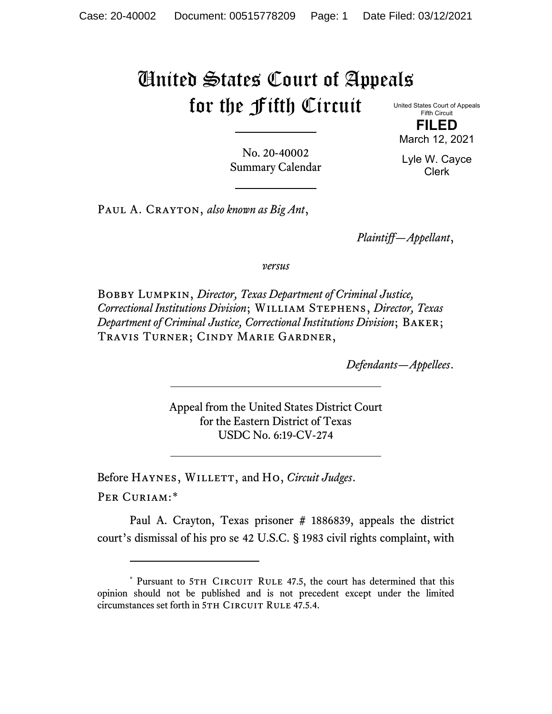## United States Court of Appeals for the Fifth Circuit

United States Court of Appeals Fifth Circuit

**FILED** March 12, 2021

Lyle W. Cayce Clerk

No. 20-40002 Summary Calendar

Paul A. Crayton, *also known as Big Ant*,

*Plaintiff—Appellant*,

*versus*

Bobby Lumpkin, *Director, Texas Department of Criminal Justice, Correctional Institutions Division*; William Stephens, *Director, Texas Department of Criminal Justice, Correctional Institutions Division*; Baker; Travis Turner; Cindy Marie Gardner,

*Defendants—Appellees*.

Appeal from the United States District Court for the Eastern District of Texas USDC No. 6:19-CV-274

Before Haynes, Willett, and Ho, *Circuit Judges*. Per Curiam:[\\*](#page-0-0)

Paul A. Crayton, Texas prisoner # 1886839, appeals the district court's dismissal of his pro se 42 U.S.C. § 1983 civil rights complaint, with

<span id="page-0-0"></span><sup>\*</sup> Pursuant to 5TH CIRCUIT RULE 47.5, the court has determined that this opinion should not be published and is not precedent except under the limited circumstances set forth in 5TH CIRCUIT RULE 47.5.4.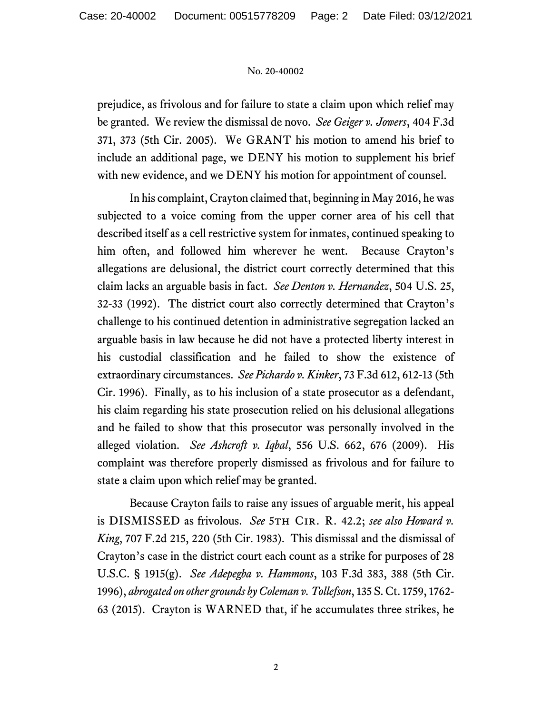## No. 20-40002

prejudice, as frivolous and for failure to state a claim upon which relief may be granted. We review the dismissal de novo. *See Geiger v. Jowers*, 404 F.3d 371, 373 (5th Cir. 2005). We GRANT his motion to amend his brief to include an additional page, we DENY his motion to supplement his brief with new evidence, and we DENY his motion for appointment of counsel.

In his complaint, Crayton claimed that, beginning in May 2016, he was subjected to a voice coming from the upper corner area of his cell that described itself as a cell restrictive system for inmates, continued speaking to him often, and followed him wherever he went. Because Crayton's allegations are delusional, the district court correctly determined that this claim lacks an arguable basis in fact. *See Denton v. Hernandez*, 504 U.S. 25, 32-33 (1992). The district court also correctly determined that Crayton's challenge to his continued detention in administrative segregation lacked an arguable basis in law because he did not have a protected liberty interest in his custodial classification and he failed to show the existence of extraordinary circumstances. *See Pichardo v. Kinker*, 73 F.3d 612, 612-13 (5th Cir. 1996). Finally, as to his inclusion of a state prosecutor as a defendant, his claim regarding his state prosecution relied on his delusional allegations and he failed to show that this prosecutor was personally involved in the alleged violation. *See Ashcroft v. Iqbal*, 556 U.S. 662, 676 (2009). His complaint was therefore properly dismissed as frivolous and for failure to state a claim upon which relief may be granted.

Because Crayton fails to raise any issues of arguable merit, his appeal is DISMISSED as frivolous. *See* 5th Cir. R. 42.2; *see also Howard v. King*, 707 F.2d 215, 220 (5th Cir. 1983). This dismissal and the dismissal of Crayton's case in the district court each count as a strike for purposes of 28 U.S.C. § 1915(g). *See Adepegba v. Hammons*, 103 F.3d 383, 388 (5th Cir. 1996), *abrogated on other grounds by Coleman v. Tollefson*, 135 S. Ct. 1759, 1762- 63 (2015). Crayton is WARNED that, if he accumulates three strikes, he